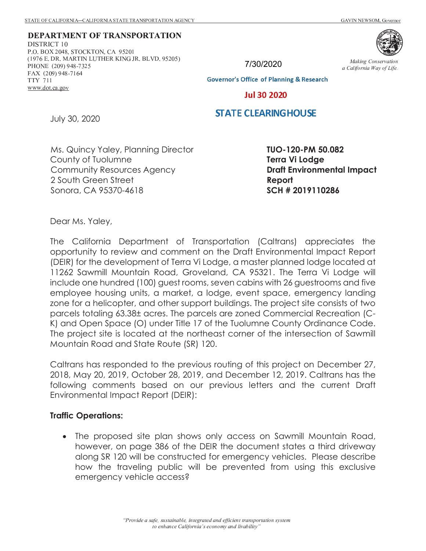**DEPARTMENT OF TRANSPORTATION** 2 3 4 5 6  $\pm$  7  $\pm$  7  $\pm$  7  $\pm$  7  $\pm$  7  $\pm$  7  $\pm$  7  $\pm$  7  $\pm$  7  $\pm$  7  $\pm$  7  $\pm$  7  $\pm$  7  $\pm$  7  $\pm$  7  $\pm$  7  $\pm$  7  $\pm$  7  $\pm$  7  $\pm$  7  $\pm$  7  $\pm$  7  $\pm$  7  $\pm$  7  $\pm$  7  $\pm$  7  $\pm$  7  $\pm$  7  $\pm$  7  $\pm$  7  $\pm$ : ; < ; <sup>=</sup> <sup>&</sup>lt; <sup>&</sup>gt; ? @ <sup>A</sup> <sup>B</sup> <sup>C</sup> <sup>D</sup> <sup>E</sup> <sup>&</sup>lt; <sup>F</sup> <sup>G</sup> <sup>E</sup> <sup>&</sup>lt; <sup>H</sup> <sup>C</sup> <sup>F</sup> <sup>I</sup> <sup>J</sup> <sup>K</sup> ? @ <sup>L</sup>  $\overline{A}$   $\overline{A}$   $\overline{B}$   $\overline{B}$   $\overline{B}$   $\overline{B}$   $\overline{B}$   $\overline{B}$   $\overline{C}$   $\overline{B}$   $\overline{B}$   $\overline{B}$   $\overline{B}$   $\overline{B}$   $\overline{B}$   $\overline{B}$   $\overline{B}$   $\overline{B}$   $\overline{B}$   $\overline{B}$   $\overline{B}$   $\overline{B}$   $\overline{B}$   $\overline{B}$   $\overline{$ **WTT ON THE CASS OF A HOME** ^ <sup>I</sup> <sup>&</sup>gt; M ? @ <sup>J</sup> [ <sup>J</sup> <sup>A</sup> <sup>B</sup> \ <sup>N</sup> <sup>L</sup> <sup>O</sup> <sup>A</sup> \_\_\_\_\_\_  $\ldots$   $\ldots$  dot as as

7/30/2020



h <sup>i</sup> <sup>j</sup> <sup>k</sup> <sup>l</sup> <sup>m</sup> <sup>n</sup> <sup>o</sup> <sup>l</sup> <sup>p</sup> <sup>q</sup> <sup>r</sup> <sup>s</sup> <sup>i</sup> <sup>t</sup> <sup>k</sup> <sup>o</sup> <sup>l</sup> i <sup>n</sup> <sup>i</sup> <sup>u</sup> <sup>k</sup> v <sup>o</sup> <sup>r</sup> <sup>l</sup> <sup>k</sup> <sup>i</sup> <sup>w</sup> <sup>i</sup> <sup>x</sup> <sup>o</sup> <sup>v</sup> <sup>y</sup> <sup>k</sup> v <sup>q</sup> <sup>z</sup>

**Governor's Office of Planning & Research** 

**Jul 30 2020** 

#### **STATE CLEARING HOUSE**

July 30, 2020

Ms. Quincy Yaley, Planning Director County of Tuolumne Community Resources Agency 2 South Green Street Sonora, CA 95370-4618

**TUO-120-PM 50.082 Terra Vi Lodge Draft Environmental Impact Report SCH # 2019110286** 

Dear Ms. Yaley,

The California Department of Transportation (Caltrans) appreciates the opportunity to review and comment on the Draft Environmental Impact Report (DEIR) for the development of Terra Vi Lodge, a master planned lodge located at 11262 Sawmill Mountain Road, Groveland, CA 95321. The Terra Vi Lodge will include one hundred (100) guest rooms, seven cabins with 26 guestrooms and five employee housing units, a market, a lodge, event space, emergency landing zone for a helicopter, and other support buildings. The project site consists of two parcels totaling 63.38± acres. The parcels are zoned Commercial Recreation (C-K) and Open Space (O) under Title 17 of the Tuolumne County Ordinance Code. The project site is located at the northeast corner of the intersection of Sawmill Mountain Road and State Route (SR) 120.

Caltrans has responded to the previous routing of this project on December 27, 2018, May 20, 2019, October 28, 2019, and December 12, 2019. Caltrans has the following comments based on our previous letters and the current Draft Environmental Impact Report (DEIR):

#### **Traffic Operations:**

· The proposed site plan shows only access on Sawmill Mountain Road, however, on page 386 of the DEIR the document states a third driveway along SR 120 will be constructed for emergency vehicles.Please describe how the traveling public will be prevented from using this exclusive emergency vehicle access?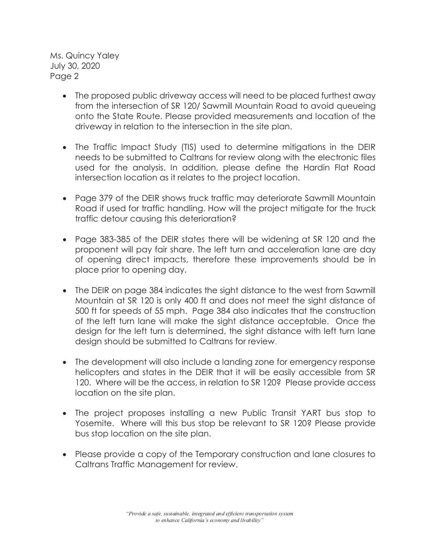Ms. Quincy Yaley July 30, 2020 Page 2

- · The proposed public driveway access will need to be placed furthest away from the intersection of SR 120/ Sawmill Mountain Road to avoid queueing onto the State Route. Please provided measurements and location of the driveway in relation to the intersection in the site plan.
- · The Traffic Impact Study (TIS) used to determine mitigations in the DEIR needs to be submitted to Caltrans for review along with the electronic files used for the analysis. In addition, please define the Hardin Flat Road intersection location as it relates to the project location.
- · Page 379 of the DEIR shows truck traffic may deteriorate Sawmill Mountain Road if used for traffic handling. How will the project mitigate for the truck traffic detour causing this deterioration?
- · Page 383-385 of the DEIR states there will be widening at SR 120 and the proponent will pay fair share. The left turn and acceleration lane are day of opening direct impacts, therefore these improvements should be in place prior to opening day.
- · The DEIR on page 384 indicates the sight distance to the west from Sawmill Mountain at SR 120 is only 400 ft and does not meet the sight distance of 500 ft for speeds of 55 mph. Page 384 also indicates that the construction of the left turn lane will make the sight distance acceptable. Once the design for the left turn is determined, the sight distance with left turn lane design should be submitted to Caltrans for review.
- · The development will also include a landing zone for emergency response helicopters and states in the DEIR that it will be easily accessible from SR 120. Where will be the access, in relation to SR 120? Please provide access location on the site plan.
- · The project proposes installing a new Public Transit YART bus stop to Yosemite. Where will this bus stop be relevant to SR 120? Please provide bus stop location on the site plan.
- · Please provide a copy of the Temporary construction and lane closures to Caltrans Traffic Management for review.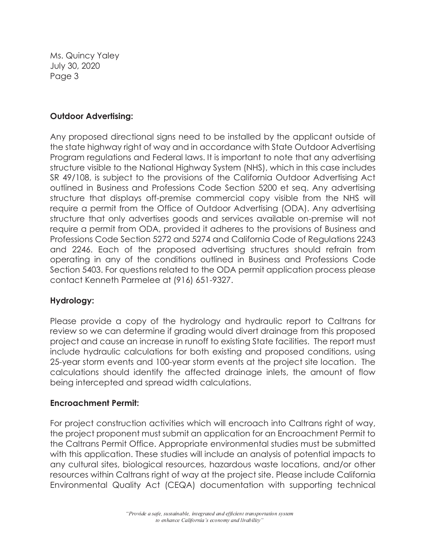Ms. Quincy Yaley July 30, 2020 Page 3

## **Outdoor Advertising:**

Any proposed directional signs need to be installed by the applicant outside of the state highway right of way and in accordance with State Outdoor Advertising Program regulations and Federal laws. It is important to note that any advertising structure visible to the National Highway System (NHS), which in this case includes SR 49/108, is subject to the provisions of the California Outdoor Advertising Act outlined in Business and Professions Code Section 5200 et seq. Any advertising structure that displays off-premise commercial copy visible from the NHS will require a permit from the Office of Outdoor Advertising (ODA). Any advertising structure that only advertises goods and services available on-premise will not require a permit from ODA, provided it adheres to the provisions of Business and Professions Code Section 5272 and 5274 and California Code of Regulations 2243 and 2246. Each of the proposed advertising structures should refrain from operating in any of the conditions outlined in Business and Professions Code Section 5403. For questions related to the ODA permit application process please contact Kenneth Parmelee at (916) 651-9327.

# **Hydrology:**

Please provide a copy of the hydrology and hydraulic report to Caltrans for review so we can determine if grading would divert drainage from this proposed project and cause an increase in runoff to existing State facilities. The report must include hydraulic calculations for both existing and proposed conditions, using 25-year storm events and 100-year storm events at the project site location. The calculations should identify the affected drainage inlets, the amount of flow being intercepted and spread width calculations.

## **Encroachment Permit:**

For project construction activities which will encroach into Caltrans right of way, the project proponent must submit an application for an Encroachment Permit to the Caltrans Permit Office. Appropriate environmental studies must be submitted with this application. These studies will include an analysis of potential impacts to any cultural sites, biological resources, hazardous waste locations, and/or other resources within Caltrans right of way at the project site. Please include California Environmental Quality Act (CEQA) documentation with supporting technical